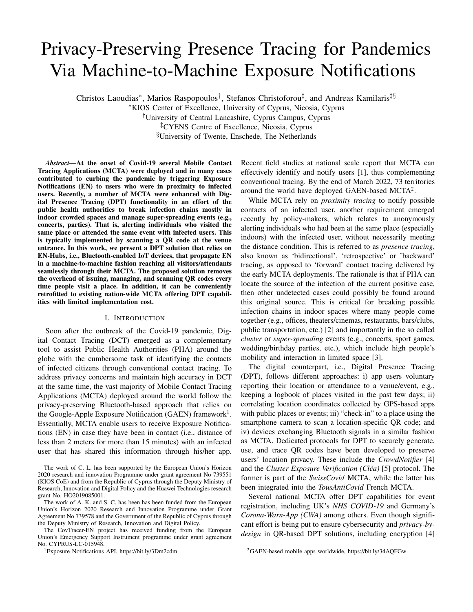# Privacy-Preserving Presence Tracing for Pandemics Via Machine-to-Machine Exposure Notifications

Christos Laoudias<sup>\*</sup>, Marios Raspopoulos<sup>†</sup>, Stefanos Christoforou<sup>‡</sup>, and Andreas Kamilaris<sup>‡§</sup>

<sup>∗</sup>KIOS Center of Excellence, University of Cyprus, Nicosia, Cyprus

†University of Central Lancashire, Cyprus Campus, Cyprus

‡CYENS Centre of Excellence, Nicosia, Cyprus

§University of Twente, Enschede, The Netherlands

*Abstract*—At the onset of Covid-19 several Mobile Contact Tracing Applications (MCTA) were deployed and in many cases contributed to curbing the pandemic by triggering Exposure Notifications (EN) to users who were in proximity to infected users. Recently, a number of MCTA were enhanced with Digital Presence Tracing (DPT) functionality in an effort of the public health authorities to break infection chains mostly in indoor crowded spaces and manage super-spreading events (e.g., concerts, parties). That is, alerting individuals who visited the same place or attended the same event with infected users. This is typically implemented by scanning a QR code at the venue entrance. In this work, we present a DPT solution that relies on EN-Hubs, i.e., Bluetooth-enabled IoT devices, that propagate EN in a machine-to-machine fashion reaching all visitors/attendants seamlessly through their MCTA. The proposed solution removes the overhead of issuing, managing, and scanning QR codes every time people visit a place. In addition, it can be conveniently retrofitted to existing nation-wide MCTA offering DPT capabilities with limited implementation cost.

# I. INTRODUCTION

Soon after the outbreak of the Covid-19 pandemic, Digital Contact Tracing (DCT) emerged as a complementary tool to assist Public Health Authorities (PHA) around the globe with the cumbersome task of identifying the contacts of infected citizens through conventional contact tracing. To address privacy concerns and maintain high accuracy in DCT at the same time, the vast majority of Mobile Contact Tracing Applications (MCTA) deployed around the world follow the privacy-preserving Bluetooth-based approach that relies on the Google-Apple Exposure Notification (GAEN) framework<sup>1</sup>. Essentially, MCTA enable users to receive Exposure Notifications (EN) in case they have been in contact (i.e., distance of less than 2 meters for more than 15 minutes) with an infected user that has shared this information through his/her app.

<sup>1</sup>Exposure Notifications API, https://bit.ly/3Dm2cdm

Recent field studies at national scale report that MCTA can effectively identify and notify users [1], thus complementing conventional tracing. By the end of March 2022, 73 territories around the world have deployed GAEN-based MCTA<sup>2</sup>.

While MCTA rely on *proximity tracing* to notify possible contacts of an infected user, another requirement emerged recently by policy-makers, which relates to anonymously alerting individuals who had been at the same place (especially indoors) with the infected user, without necessarily meeting the distance condition. This is referred to as *presence tracing*, also known as 'bidirectional', 'retrospective' or 'backward' tracing, as opposed to 'forward' contact tracing delivered by the early MCTA deployments. The rationale is that if PHA can locate the source of the infection of the current positive case, then other undetected cases could possibly be found around this original source. This is critical for breaking possible infection chains in indoor spaces where many people come together (e.g., offices, theaters/cinemas, restaurants, bars/clubs, public transportation, etc.) [2] and importantly in the so called *cluster* or *super-spreading* events (e.g., concerts, sport games, wedding/birthday parties, etc.), which include high people's mobility and interaction in limited space [3].

The digital counterpart, i.e., Digital Presence Tracing (DPT), follows different approaches: i) app users voluntary reporting their location or attendance to a venue/event, e.g., keeping a logbook of places visited in the past few days; ii) correlating location coordinates collected by GPS-based apps with public places or events; iii) "check-in" to a place using the smartphone camera to scan a location-specific QR code; and iv) devices exchanging Bluetooth signals in a similar fashion as MCTA. Dedicated protocols for DPT to securely generate, use, and trace QR codes have been developed to preserve users' location privacy. These include the *CrowdNotifier* [4] and the *Cluster Exposure Verification (Cléa)* [5] protocol. The former is part of the *SwissCovid* MCTA, while the latter has been integrated into the *TousAntiCovid* French MCTA.

Several national MCTA offer DPT capabilities for event registration, including UK's *NHS COVID-19* and Germany's *Corona-Warn-App (CWA)* among others. Even though significant effort is being put to ensure cybersecurity and *privacy-bydesign* in QR-based DPT solutions, including encryption [4]

<sup>2</sup>GAEN-based mobile apps worldwide, https://bit.ly/34AQFGw

The work of C. L. has been supported by the European Union's Horizon 2020 research and innovation Programme under grant agreement No 739551 (KIOS CoE) and from the Republic of Cyprus through the Deputy Ministry of Research, Innovation and Digital Policy and the Huawei Technologies research grant No. HO2019085001.

The work of A. K. and S. C. has been has been funded from the European Union's Horizon 2020 Research and Innovation Programme under Grant Agreement No 739578 and the Government of the Republic of Cyprus through the Deputy Ministry of Research, Innovation and Digital Policy.

The CovTracer-EN project has received funding from the European Union's Emergency Support Instrument programme under grant agreement No. CYPRUS-LC-015948.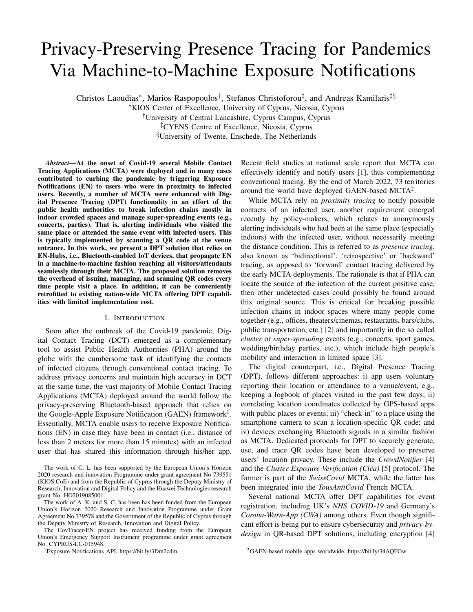and dynamically changing QR codes [5], there is still significant overhead to generate and manage the QR codes, while user interaction is needed to scan a code every time a new location is visited (sometimes leading to long queues). Thus, this process inevitably creates misconceptions and concerns regarding location privacy that may reduce their acceptance.

These challenges are addressed by DPT solutions that follow the fundamentally different fourth approach. For instance, the *Lighthouses* system deploys dedicated custom devices that cover an area of interest and broadcast proprietary messages over Bluetooth to notify app users who shared the same area with an infected user without the need for QR codes [6]. However, it introduces unnecessary overhead due to the additional Bluetooth messages broadcasted by the underpinning proprietary DPT protocol.

We envision a QR-free DPT system to go hand-in-hand with DCT without the need for a new DPT-specific Bluetooth protocol that introduces undesirable overheads, complexity, and increased message traffic flow. In this work, we propose a solution that leverages the existing GAEN protocol and underlying Bluetooth signalling to deliver efficient, reliable and cost-effective DPT capabilities on top of DCT. Notably, it can be seamlessly integrated into existing GAEN-based MCTA, at the expense of deploying DPT-specific Internet of Things (IoT) devices in the area of interest.

Assuming that a GAEN-based MCTA is released across a country, the main idea is to deploy *static* Bluetooth-equipped IoT devices to adequately cover indoor spaces and venues. These devices act as *exposure notification hubs*, i.e., upon receiving an EN due to a user that reported infection in his/her MCTA, the IoT device A will automatically report "infection" that will trigger notifications in neighboring IoT devices B, C, etc., as well as other users that where close to device A, but possibly not meeting the proximity requirements of DCT with the infected user. After a few iterations, the "wave" of EN will cover the entire indoor space, thus serving as a DPT system. To this end, our contributions in this work are twofold:

We introduce our privacy-preserving DPT approach and present the system architecture considering full integration with an existing nation-wide MCTA, i.e., the *CovTracer-Exposure Notification (CovTracer-EN)* system, released in Cyprus<sup>3</sup>.

We assess the presence tracing capabilities in a simulated variable-size indoor environment and provide insights about the performance observed.

The rest of the paper is structured as follows: Section II overviews the necessary background for DCT and the exposure risk calculation using the GAEN framework. The joint contact and presence tracing system is presented in Section III including the proposed DPT solution and integration with existing CovTracer-EN. Next, the indoor simulation environment for larger-scale experimentation and evaluation is discussed in Section IV. Finally, Section V provides concluding remarks and directions for future work.

<sup>3</sup>CovTracer-EN official website, https://bit.ly/3x0Yipo

# II. BACKGROUND ON DCT

The GAEN framework provides a secure Bluetooth scanning and message exchange with nearby devices (e.g., AES128-based encryption is used). The underlying API enables cross-device interoperability between Google Android and Apple iPhone devices. In practice, GAEN-based MCTA regularly search for proximity information from other users. Essentially, an MCTA-equipped mobile device transmits custom beacon messages through Bluetooth Low Energy (BLE) to preserve battery life. These beacons are picked up by nearby devices running a MCTA and serve as proxy for distance, i.e., they suggest device owner proximity, while the message attenuation level indicates the likelihood that nearby devices have been within a certain distance to the device sending the beacon. Moreover, counting the number of these messages, the receiver estimates the duration of a contact.

In particular, GAEN-based MCTA generate a random Temporary Exposure Key (TEK) once a day. Based on the TEK, Rolling Proximity Identifiers (RPI) are generated and updated approximately every 10 min to 30 min to preserve privacy. These RPIs are appended to the messages together with other encrypted metadata such as the wireless transmission power level. In case a positively tested user opts to share this information with his/her consent through the MCTA, the personal TEKs, i.e., infected keys, are uploaded to the MCTA backend server and stored securely together with the TEKs of other infected users. All MCTA users frequently connect to the backend (e.g., a few times per day) and request to download the latest TEKs and use them to identify and match RPIs that were received via beacons and stored locally on the device before. If there is a match, the values reported by GAEN are used to calculate the Exposure Score (ES) that quantifies the infection risk in Meaningful Exposure Minutes (MEM), based on the attenuation levels of the messages and the duration of the contact<sup>4</sup>. In case the cumulative daily ES in MEM is sufficiently high, exceeding a predefined threshold set by epidemiologists (e.g., 15 MEM in the CovTracer-EN app), then EN is triggered on the exposed user's phone device.

# *A. GAEN-based Risk Calculation*

Based on the exposure configuration documentation, we formulate and compute the ES  $as^5$ :

$$
ES = W_i \t t_i + W_n \t t_n + W_m \t t_m + W_0 \t t_o; \t (1)
$$

where the parameters  $t_i$ ,  $t_n$ ,  $t_m$ , and  $t_o$  are the exposure durations in the attenuation ranges (buckets)  $B_i : [0, a_i)$ ,  $B_n$ : [ $a_i$ ;  $a_n$ ),  $B_m$ : [ $a_n$ ;  $a_m$ ), and  $B_o$ : [ $a_m$ ; 1), while  $w_i$ ,  $W<sub>n</sub>$ ,  $W<sub>m</sub>$ , and  $W<sub>o</sub>$  are their corresponding user-defined weights. Essentially, the range of attenuation values is divided into four buckets based on user-selected thresholds  $a_i$ ,  $a_n$ , and  $a_m$ .

<sup>4</sup>Exposure Risk Value Calculation, https://apple.co/35tMNL6

<sup>&</sup>lt;sup>5</sup>The ES function contains additional multiplicative terms including the *Infectiousness* weight that is higher for those TEKs closer to the symptoms onset date of the infected user and the *Report type* weight that is higher if the user has a confirmed test vs a self-diagnosis. However, for simplicity in this work we set both weights equal to 1 (100%) and ES comes down to (1).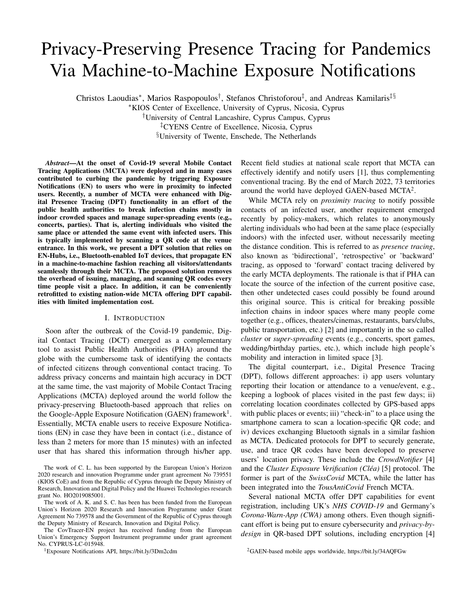|                         |                  | Immediate | <b>Near</b> | <b>Medium</b>     | Other |
|-------------------------|------------------|-----------|-------------|-------------------|-------|
| <b>Narrower Net 1.0</b> | <b>Threshold</b> | $<$ 55 dB | < 63 dB     | $< 70$ dB         | --    |
|                         | Weight           | 150%      | 100%        | 40%               | 0%    |
| Wider Net 1.0           | <b>Threshold</b> | $<$ 55 dB | $< 70$ dB   | $< 80 \text{ dB}$ | --    |
|                         | Weight           | 200%      | 100%        | 25%               | 0%    |

Fig. 1. Common configurations of BLE attenuation thresholds and weights.

The buckets coarsely approximate the proximity between two devices as *Immediate*, *Near*, *Medium*, and *Other*, i.e., very far. This design decision is taken by the GAEN team to handle the inherent uncertainties in the BLE signals that do not allow for accurate estimation of distance from attenuation values. If  $ES$   $T_e$ , where  $T_e$  is the exposure duration threshold, then the user is notified through the MCTA. For instance,  $T_e = 15$  min in CovTracer-EN.

All these parameters can be selected by the PHA through extensive experimentation, e.g., to minimize *false negatives* (i.e., undetected critical contacts) and maximize *true positives* (i.e., detected critical contacts), as in the case of the CWA [7]. Luckily, there are some thoroughly-studied and welldocumented recommendations for the parameter values that are fine-tuned to provide different performance in terms of the exposures captured and the volume of notifications triggered.

Figure 1 depicts the thresholds and weights for two configurations that were recommended by the Risk Score Consortium in November 2020 and released as open source by the Linux Foundation Public Health<sup>6</sup>. Essentially, the *Narrower Net* configuration captures some fraction of close contacts and limits the number of further-distance exposures captured; thus, triggering fewer notifications. In contrast, the *Wider Net* configuration captures most close-contact exposures and a non-negligible amount of further-distance exposures; thus, triggering more notifications.

For instance, assuming the Wider Net configuration with  $T_e$  = 15 min, if a user spends 8 min in immediate distance or 2 h in medium distance from a positive case, then a notification will be triggered because  $SE = 16$  and  $SE = 30$ , respectively.

# III. JOINT CONTACT & PRESENCE TRACING SYSTEM

# *A. Example scenario of the proposed DPT solution*

An indoor office environment featuring a room with plasterboard walls and an open-plan area with two rows of cubicles is illustrated in Fig. 2. Two EN-Hubs, i.e., Bluetooth-equipped IoT devices (e.g., cheap Android smartphones, Android boxes, Raspberry Pi running Android, etc.) denoted  $H_1$  and  $H_2$  are running the GAEN protocol with the Wider Net configuration, as shown in Fig. 1, to increase coverage. The three co-centric circular discs represent the *Immediate*, *Near*, and *Medium*





Fig. 2. Example deployment of EN-Hubs in the proposed DPT solution.

attenuation ranges, respectively<sup>7</sup>. The dashed circle denotes larger attenuation, while the red-orange-green colors indicate the weights associated with the attenuation ranges.

There are also three employees who carry their smartphones running a GAEN-based MCTA with the Narrow Net parameter configuration according to the recommendation of the local PHA for DCT. Note the smaller sizes of the discs for  $U_3$  that correspond to the lower thresholds and the smaller attenuation ranges compared to the EN-Hubs. In case user  $U_1$ , who did not move from his desk the whole day, reports infection through his/her MCTA, then  $H_1$  receives the EN because  $U_1$  is in the *green* range of  $H_1$  for sufficient time. Subsequently,  $H_1$  acting as an EN-Hub automatically reports "infection" that triggers an EN on  $H_2$  because  $H_1$  is in the *green* range of  $H_2$ . In a similar fashion,  $H_2$  reports "infection" that triggers an EN on  $U_3$  because  $H_2$  is in the *green* range of  $U_3$ . In addition,  $U_2$ receives EN because  $H_2$  is in the *orange* range of  $U_2$  (the range discs of  $U_2$  are omitted for clarity).

Note that if another user was sitting on his/her desk at the top right for the whole day, then he/she would not receive EN neither from  $U_1$  nor from  $H_1$  because they are both in the *Other* range of that user with zero weight. This could be easily addressed with additional EN-Hubs; however, the optimal number and placement of the EN-Hubs are beyond the scope of this work.

# *B. Integrated DCT and DPT architecture*

The architecture for joint DCT and DPT is illustrated in Fig. 3. The right part (brown color) is the simplified block diagram of the CovTracer-EN [8] national MCTA of Cyprus that consists of the following four main components.

SNOW Platform: is used by the Ministry of Health for managing the positive cases in Cyprus, conducting conventional contact tracing, and issuing One-Time-Passwords (OTP) to CovTracer-EN users that opt to share their infected TEKs.

CovTracer-EN App: is a light-weight and user-friendly GAEN-based client running on the users' smartphones for triggering notifications upon potential contact with another infected user. The app requests and downloads the infected TEKs as well as the user configuration parameters from

 $7$ This is only for illustrating the attenuation ranges. In open-space signal propagation, doubling the transmitter-receiver distance leads to 6 dB additional attenuation.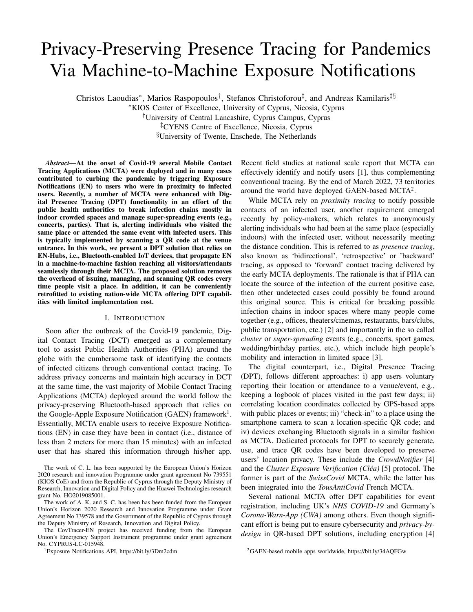the backend automatically twice per day, whenever a data connection is available. It also allows a user to report infection with his/her consent and upload the infected TEKs to the Backend for other users to check for possible exposures.

Verification Server: is responsible for i) creating the OTP to enable the infected user to share his/her TEKs and ii) verifying that the OTP submitted together with the TEKs is valid.

CovTracer-EN Backend: manages i) the collection of the TEKs submitted by infected users, ii) their storage in a database in case the OTP is valid, and iii) the distribution of the infected TEKs to all app users together with the configuration parameters for computing the ES value daily on each smartphone to trigger a notification, if and when needed.

The left part in Fig. 3 shows the EN-Hub IoT device that implements the proposed DPT solution together with its associated data flow (gray arrows). The EN-Hub runs a slightly modified version of the original CovTracer-EN, having two key differences: i) it requests separate EN-Hub configuration parameters twice per day, together with the same infected TEKs downloaded by all CovTracer-EN users and ii) upon receiving a notification, it automatically reports infection, i.e., uploads its "infected" TEKs to the CovTracer-EN Backend bypassing the OTP creation and verification process.

Let's assume that Bob has CovTracer-EN enabled on his smartphone and goes to the theater with some friends. The theater is equipped with EN-Hub devices that adequately cover the entire hall for the purpose of DPT. Alice has also installed CovTracer-EN on her smartphone and attends the same show sitting several rows away from Bob. At the next day, Bob is tested positive for Covid-19. The following steps take place that enable Alice and other attendants to receive a notification (without any indication that this was due to Bob) and follow PHA recommendations, e.g., self-isolation, testing, etc.; thus, stopping a super-spreading event at the earliest stage.

- 1) During Bob's interview with the contact tracers an OTP is requested for CovTracer-EN.
- 2) The Verification Server creates the 12-digit OTP.
- 3) The OTP is sent to Bob via SMS.
- 4) Bob's infected TEKs and OTP are submitted.
- 5) The Verification Server checks the OTP.
- 6) The OTP is verified and Bob's infected TEKs are stored.
- 7) Bob's TEKs are distributed by the Backend and downloaded by EN-Hubs and regular users. Bob's friends, who were sitting next to him, will receive notification due to proximity with him as part of the usual DCT.
- 8) The EN-Hub that was closest to Bob receives a notification and automatically uploads its "infected" TEKs. When these TEKs are distributed, the notification is propagated to other EN-Hubs, as well as regular users who were not in proximity with Bob.
- 9) Eventually, a notification is triggered on Alice's smartphone due to the "infected" TEKs of the EN-Hub that was closer to her (possibly several hops away from Bob).

We investigated the feasibility of the proposed solution using the *Test* environment of CovTracer-EN. This is an exact copy of the *Production* system that allows to test changes and



Fig. 3. Architecture of the integrated DCT and DPT solution.

upgrades in a fully controlled manner before pushing them to the real system. We used four commercial Android smartphones: two devices  $U_1$  and  $U_2$  acting as users had the original CovTracer-EN installed, while the other two devices  $H_1$  and  $H_2$  serving as EN-Hubs were running the modified CovTracer-EN that behaves as described previously. The devices were placed along a straight line on a bench with approximately 6 m distance between the EN-Hubs. Each user device was placed approximately 2 m away from the corresponding EN-Hub, i.e., the distance separating  $U_1$  from  $U_2$  was approximately 8 m.

After 15 min a "fake" infection was reported from  $U_1$ and its TEKs were uploaded to the Backend in the *Test* environment. Subsequently, the nearby  $H_1$  received EN and its TEKs were automatically shared. Due to the limited exposure time and the distance between the user devices,  $U_2$  was not notified. Subsequently,  $H_2$  received EN (which was due to the "infected" TEKs of  $H_1$ ) and uploaded its TEKs. Finally,  $U_2$ was notified about a possible exposure due to  $H_2$ . This would not be possible without the EN-Hubs.

## IV. INDOOR SIMULATION ENVIRONMENT

To carry out a more extensive evaluation of our DPT solution, a 3D presence tracing simulator was implemented in MATLAB. It comprises a 3D random walk mobility model and a deterministic channel model. The mobility model builds upon the open source 2D random walk model [9] that is purely open space, not considering any walls or obstructions in the environment. Our model extends the mobility to 3 dimensions, while it introduces the functionality for mobile users to bounce back once they hit a wall of the environment. Additionally, the model introduces *static* nodes, i.e., EN-Hubs, which the original model did not include. The simulator estimates the instantaneous power between all nodes (users and EN-Hubs) by using a custom-built Ray Tracing Model [10].

Our setup is a typical 15 m 50 m office environment comprising sixteen  $20 \text{ m}^2$  offices, three  $40 \text{ m}^2$  conference rooms, a large horizontal corridor, and a smaller vertical corridor, as shown in Fig. 4. All external walls including the floor and ceiling are assumed to be made of reinforced concrete, while internal walls are made of plasterboard and doors are wooden. All nodes use the 2:4 GHz BLE frequency band including 35 equally spaced EN-Hubs, i.e., 1 inside each room (not shown)